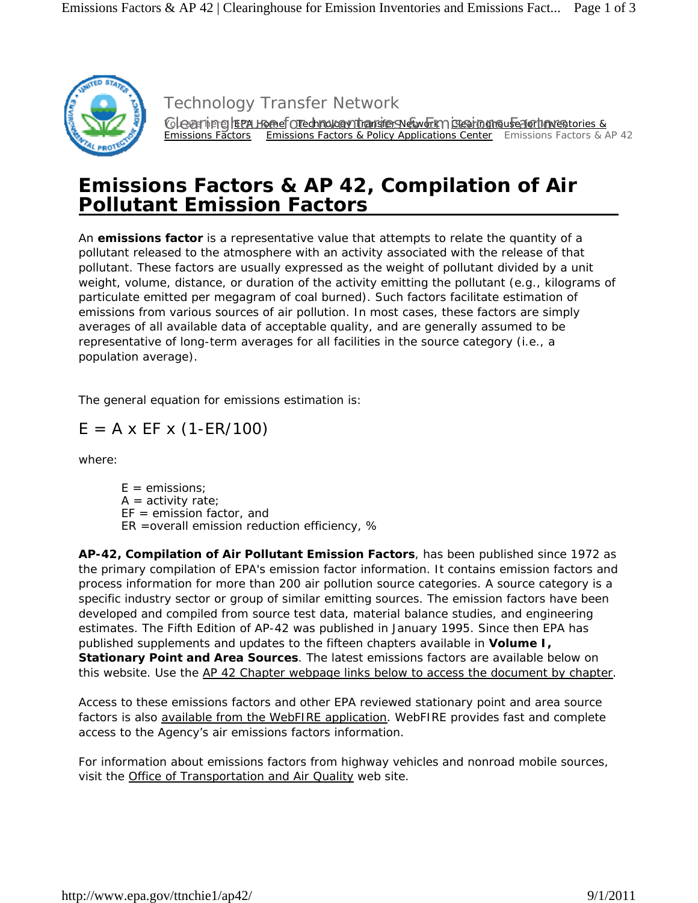

Clearing freu Homef Orechnology Thansfers Network Clearinghouse for Inventories & Emissions Factors Emissions Factors & Policy Applications Center Emissions Factors & AP 42 Technology Transfer Network

# **Emissions Factors & AP 42,** *Compilation of Air Pollutant Emission Factors*

An **emissions factor** is a representative value that attempts to relate the quantity of a pollutant released to the atmosphere with an activity associated with the release of that pollutant. These factors are usually expressed as the weight of pollutant divided by a unit weight, volume, distance, or duration of the activity emitting the pollutant (e.g., kilograms of particulate emitted per megagram of coal burned). Such factors facilitate estimation of emissions from various sources of air pollution. In most cases, these factors are simply averages of all available data of acceptable quality, and are generally assumed to be representative of long-term averages for all facilities in the source category (i.e., a population average).

The general equation for emissions estimation is:

# $E = A \times EF \times (1-ER/100)$

where:

 $E =$  emissions;  $A =$  activity rate;  $EF =$  emission factor, and ER =overall emission reduction efficiency, %

**AP-42,** *Compilation of Air Pollutant Emission Factors*, has been published since 1972 as the primary compilation of EPA's emission factor information. It contains emission factors and process information for more than 200 air pollution source categories. A source category is a specific industry sector or group of similar emitting sources. The emission factors have been developed and compiled from source test data, material balance studies, and engineering estimates. The Fifth Edition of AP-42 was published in January 1995. Since then EPA has published supplements and updates to the fifteen chapters available in *Volume I, Stationary Point and Area Sources.* The latest emissions factors are available below on this website. Use the AP 42 Chapter webpage links below to access the document by chapter.

Access to these emissions factors and other EPA reviewed stationary point and area source factors is also available from the WebFIRE application. WebFIRE provides fast and complete access to the Agency's air emissions factors information.

*For information about emissions factors from highway vehicles and nonroad mobile sources, visit the Office of Transportation and Air Quality* web site.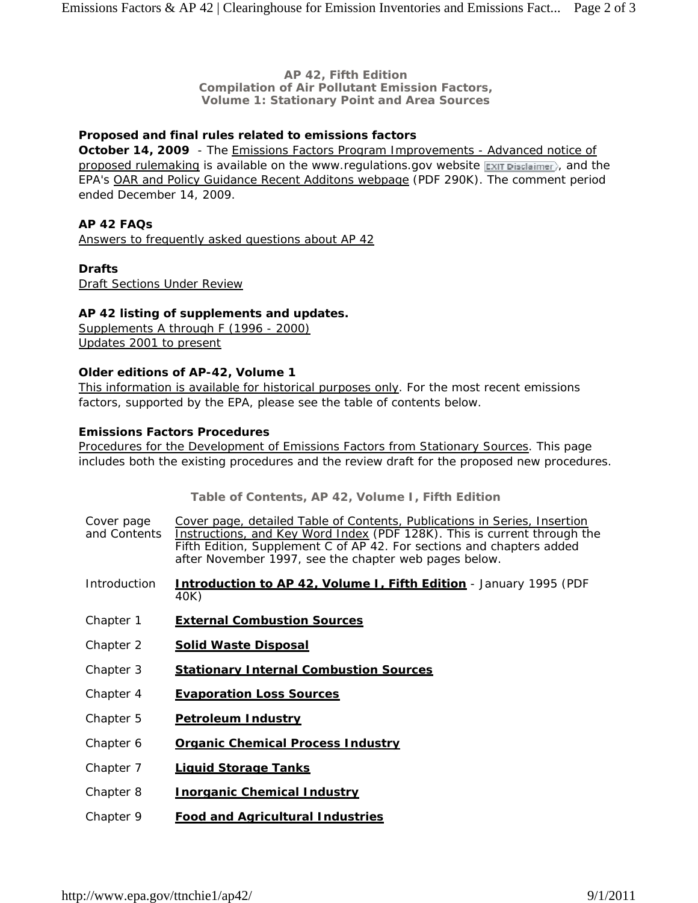#### **AP 42, Fifth Edition**  *Compilation of Air Pollutant Emission Factors, Volume 1: Stationary Point and Area Sources*

# **Proposed and final rules related to emissions factors**

**October 14, 2009** - The Emissions Factors Program Improvements - Advanced notice of proposed rulemaking is available on the www.regulations.gov website  $\exp i$  parameters, and the EPA's OAR and Policy Guidance Recent Additons webpage (PDF 290K). The comment period ended December 14, 2009.

#### **AP 42 FAQs**

Answers to frequently asked questions about AP 42

#### **Drafts**

Draft Sections Under Review

#### **AP 42 listing of supplements and updates.**

Supplements A through F (1996 - 2000) Updates 2001 to present

#### **Older editions of AP-42, Volume 1**

This information is available for historical purposes only. For the most recent emissions factors, supported by the EPA, please see the table of contents below.

## **Emissions Factors Procedures**

Procedures for the Development of Emissions Factors from Stationary Sources. This page includes both the existing procedures and the review draft for the proposed new procedures.

**Table of Contents, AP 42, Volume I, Fifth Edition**

| Cover page<br>and Contents | Cover page, detailed Table of Contents, Publications in Series, Insertion<br>Instructions, and Key Word Index (PDF 128K). This is current through the<br>Fifth Edition, Supplement C of AP 42. For sections and chapters added<br>after November 1997, see the chapter web pages below. |
|----------------------------|-----------------------------------------------------------------------------------------------------------------------------------------------------------------------------------------------------------------------------------------------------------------------------------------|
| Introduction               | <b>Introduction to AP 42, Volume I, Fifth Edition</b> - January 1995 (PDF<br>40K)                                                                                                                                                                                                       |
| Chapter 1                  | <b>External Combustion Sources</b>                                                                                                                                                                                                                                                      |
| Chapter 2                  | <b>Solid Waste Disposal</b>                                                                                                                                                                                                                                                             |
| Chapter 3                  | <b>Stationary Internal Combustion Sources</b>                                                                                                                                                                                                                                           |
| Chapter 4                  | <b>Evaporation Loss Sources</b>                                                                                                                                                                                                                                                         |
| Chapter 5                  | <b>Petroleum Industry</b>                                                                                                                                                                                                                                                               |
| Chapter 6                  | <b>Organic Chemical Process Industry</b>                                                                                                                                                                                                                                                |
| Chapter 7                  | <b>Liquid Storage Tanks</b>                                                                                                                                                                                                                                                             |
| Chapter 8                  | <b>Inorganic Chemical Industry</b>                                                                                                                                                                                                                                                      |
| Chapter 9                  | <b>Food and Agricultural Industries</b>                                                                                                                                                                                                                                                 |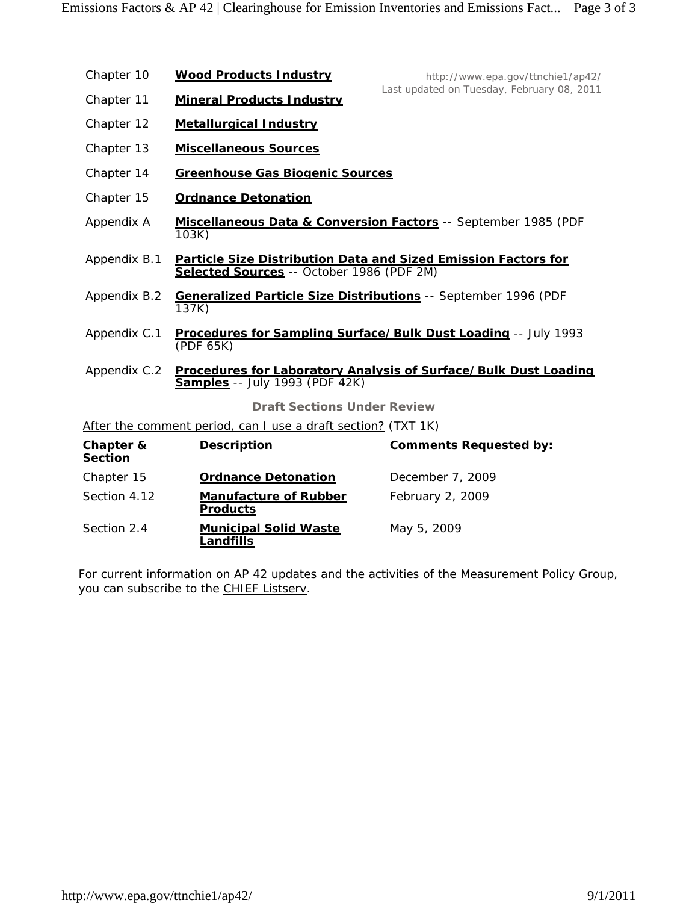| Chapter 10                  | <b>Wood Products Industry</b>                                 | http://www.epa.gov/ttnchie1/ap42/                               |  |  |
|-----------------------------|---------------------------------------------------------------|-----------------------------------------------------------------|--|--|
| Chapter 11                  | <b>Mineral Products Industry</b>                              | Last updated on Tuesday, February 08, 2011                      |  |  |
| Chapter 12                  | <b>Metallurgical Industry</b>                                 |                                                                 |  |  |
| Chapter 13                  | <b>Miscellaneous Sources</b>                                  |                                                                 |  |  |
| Chapter 14                  | <b>Greenhouse Gas Biogenic Sources</b>                        |                                                                 |  |  |
| Chapter 15                  | <b>Ordnance Detonation</b>                                    |                                                                 |  |  |
| Appendix A                  | 103K)                                                         | Miscellaneous Data & Conversion Factors -- September 1985 (PDF  |  |  |
| Appendix B.1                | Selected Sources -- October 1986 (PDF 2M)                     | Particle Size Distribution Data and Sized Emission Factors for  |  |  |
| Appendix B.2                | 137K)                                                         | Generalized Particle Size Distributions -- September 1996 (PDF  |  |  |
| Appendix C.1                | (PDF 65K)                                                     | Procedures for Sampling Surface/Bulk Dust Loading -- July 1993  |  |  |
| Appendix C.2                | <b>Samples</b> -- July 1993 (PDF 42K)                         | Procedures for Laboratory Analysis of Surface/Bulk Dust Loading |  |  |
|                             | <b>Draft Sections Under Review</b>                            |                                                                 |  |  |
|                             | After the comment period, can I use a draft section? (TXT 1K) |                                                                 |  |  |
| Chapter &<br><b>Section</b> | <b>Description</b>                                            | <b>Comments Requested by:</b>                                   |  |  |
| Chapter 15                  | <b>Ordnance Detonation</b>                                    | December 7, 2009                                                |  |  |
| Section 4.12                | <b>Manufacture of Rubber</b><br><b>Products</b>               | February 2, 2009                                                |  |  |
| Section 2.4                 | <b>Municipal Solid Waste</b><br><b>Landfills</b>              | May 5, 2009                                                     |  |  |

*For current information on AP 42 updates and the activities of the Measurement Policy Group, you can subscribe to the CHIEF Listserv.*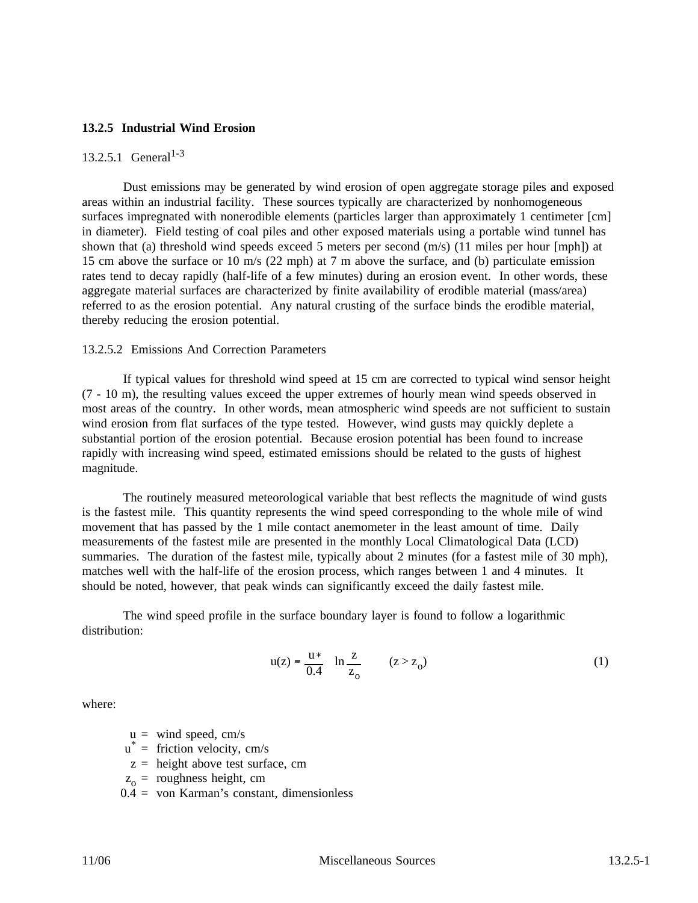#### **13.2.5 Industrial Wind Erosion**

# 13.2.5.1 General<sup>1-3</sup>

Dust emissions may be generated by wind erosion of open aggregate storage piles and exposed areas within an industrial facility. These sources typically are characterized by nonhomogeneous surfaces impregnated with nonerodible elements (particles larger than approximately 1 centimeter [cm] in diameter). Field testing of coal piles and other exposed materials using a portable wind tunnel has shown that (a) threshold wind speeds exceed 5 meters per second  $(m/s)$  (11 miles per hour [mph]) at 15 cm above the surface or 10 m/s (22 mph) at 7 m above the surface, and (b) particulate emission rates tend to decay rapidly (half-life of a few minutes) during an erosion event. In other words, these aggregate material surfaces are characterized by finite availability of erodible material (mass/area) referred to as the erosion potential. Any natural crusting of the surface binds the erodible material, thereby reducing the erosion potential.

#### 13.2.5.2 Emissions And Correction Parameters

If typical values for threshold wind speed at 15 cm are corrected to typical wind sensor height (7 - 10 m), the resulting values exceed the upper extremes of hourly mean wind speeds observed in most areas of the country. In other words, mean atmospheric wind speeds are not sufficient to sustain wind erosion from flat surfaces of the type tested. However, wind gusts may quickly deplete a substantial portion of the erosion potential. Because erosion potential has been found to increase rapidly with increasing wind speed, estimated emissions should be related to the gusts of highest magnitude.

The routinely measured meteorological variable that best reflects the magnitude of wind gusts is the fastest mile. This quantity represents the wind speed corresponding to the whole mile of wind movement that has passed by the 1 mile contact anemometer in the least amount of time. Daily measurements of the fastest mile are presented in the monthly Local Climatological Data (LCD) summaries. The duration of the fastest mile, typically about 2 minutes (for a fastest mile of 30 mph), matches well with the half-life of the erosion process, which ranges between 1 and 4 minutes. It should be noted, however, that peak winds can significantly exceed the daily fastest mile.

The wind speed profile in the surface boundary layer is found to follow a logarithmic distribution:

$$
u(z) = \frac{u *}{0.4} \quad \ln \frac{z}{z_0} \qquad (z > z_0)
$$
 (1)

where:

 $u =$  wind speed, cm/s

- $u^*$  = friction velocity, cm/s
- $z =$  height above test surface, cm
- $z_0$  = roughness height, cm
- 0.4 = von Karman's constant, dimensionless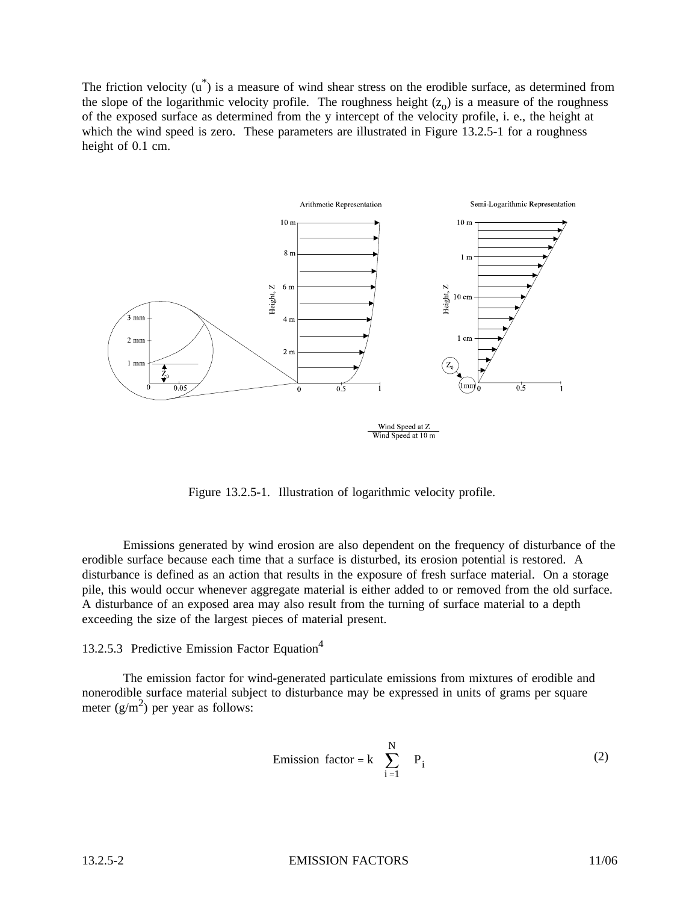The friction velocity  $(u^*)$  is a measure of wind shear stress on the erodible surface, as determined from the slope of the logarithmic velocity profile. The roughness height  $(z_0)$  is a measure of the roughness of the exposed surface as determined from the y intercept of the velocity profile, i. e., the height at which the wind speed is zero. These parameters are illustrated in Figure 13.2.5-1 for a roughness height of 0.1 cm.



Figure 13.2.5-1. Illustration of logarithmic velocity profile.

Emissions generated by wind erosion are also dependent on the frequency of disturbance of the erodible surface because each time that a surface is disturbed, its erosion potential is restored. A disturbance is defined as an action that results in the exposure of fresh surface material. On a storage pile, this would occur whenever aggregate material is either added to or removed from the old surface. A disturbance of an exposed area may also result from the turning of surface material to a depth exceeding the size of the largest pieces of material present.

#### 13.2.5.3 Predictive Emission Factor Equation<sup>4</sup>

The emission factor for wind-generated particulate emissions from mixtures of erodible and nonerodible surface material subject to disturbance may be expressed in units of grams per square meter  $(g/m^2)$  per year as follows:

Emission factor = 
$$
k \sum_{i=1}^{N} P_i
$$
 (2)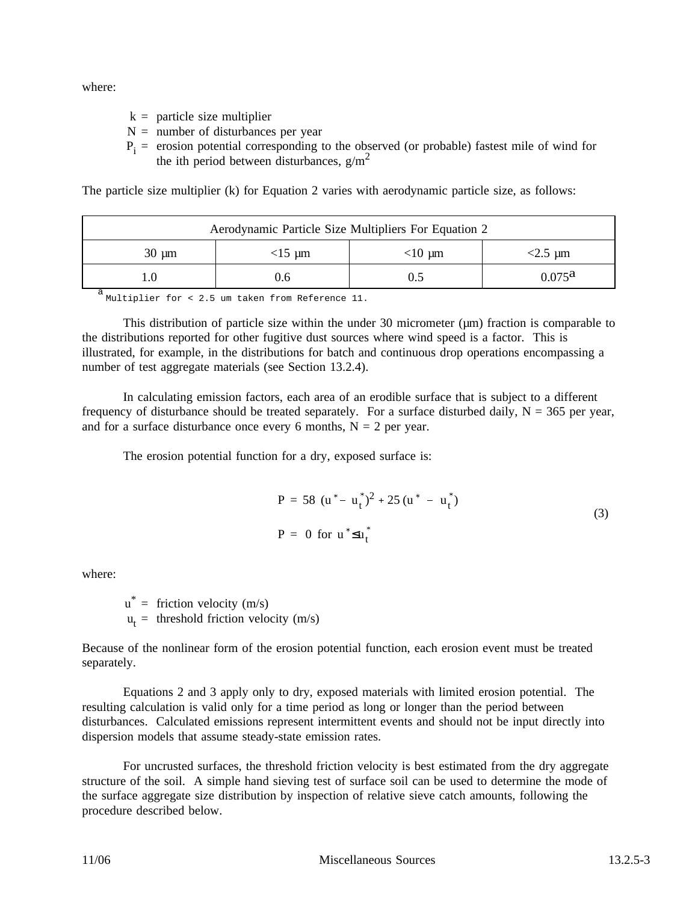where:

- $k =$  particle size multiplier
- $N =$  number of disturbances per year
- $P_i$  = erosion potential corresponding to the observed (or probable) fastest mile of wind for the ith period between disturbances,  $g/m<sup>2</sup>$

The particle size multiplier (k) for Equation 2 varies with aerodynamic particle size, as follows:

| Aerodynamic Particle Size Multipliers For Equation 2 |  |  |  |  |  |  |  |
|------------------------------------------------------|--|--|--|--|--|--|--|
| $30 \mu m$<br>$<$ 2.5 µm<br>$<$ 10 µm<br>$<$ 15 µm   |  |  |  |  |  |  |  |
| $0.075^{\rm a}$<br>J.6                               |  |  |  |  |  |  |  |

a<br>Multiplier for < 2.5 um taken from Reference 11.

This distribution of particle size within the under 30 micrometer  $(\mu m)$  fraction is comparable to the distributions reported for other fugitive dust sources where wind speed is a factor. This is illustrated, for example, in the distributions for batch and continuous drop operations encompassing a number of test aggregate materials (see Section 13.2.4).

In calculating emission factors, each area of an erodible surface that is subject to a different frequency of disturbance should be treated separately. For a surface disturbed daily,  $N = 365$  per year, and for a surface disturbance once every 6 months,  $N = 2$  per year.

The erosion potential function for a dry, exposed surface is:

$$
P = 58 (u* - ut*)2 + 25 (u* - ut*)
$$
  
\n
$$
P = 0 \text{ for } u* \le ut*
$$
\n(3)

where:

 $u^*$  = friction velocity (m/s)  $u_t$  = threshold friction velocity (m/s)

Because of the nonlinear form of the erosion potential function, each erosion event must be treated separately.

Equations 2 and 3 apply only to dry, exposed materials with limited erosion potential. The resulting calculation is valid only for a time period as long or longer than the period between disturbances. Calculated emissions represent intermittent events and should not be input directly into dispersion models that assume steady-state emission rates.

For uncrusted surfaces, the threshold friction velocity is best estimated from the dry aggregate structure of the soil. A simple hand sieving test of surface soil can be used to determine the mode of the surface aggregate size distribution by inspection of relative sieve catch amounts, following the procedure described below.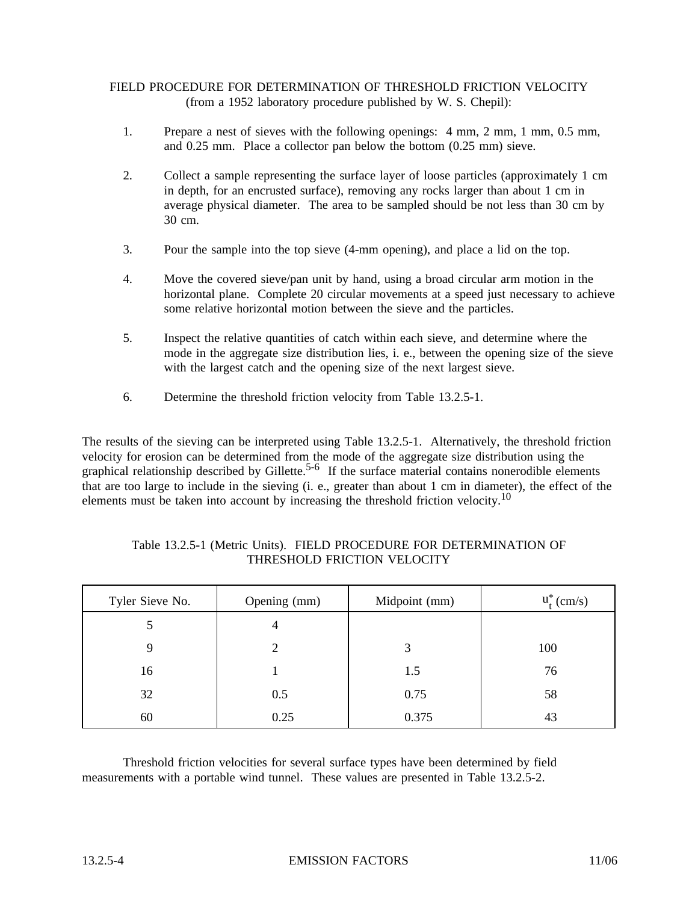## FIELD PROCEDURE FOR DETERMINATION OF THRESHOLD FRICTION VELOCITY (from a 1952 laboratory procedure published by W. S. Chepil):

- 1. Prepare a nest of sieves with the following openings: 4 mm, 2 mm, 1 mm, 0.5 mm, and 0.25 mm. Place a collector pan below the bottom (0.25 mm) sieve.
- 2. Collect a sample representing the surface layer of loose particles (approximately 1 cm in depth, for an encrusted surface), removing any rocks larger than about 1 cm in average physical diameter. The area to be sampled should be not less than 30 cm by 30 cm.
- 3. Pour the sample into the top sieve (4-mm opening), and place a lid on the top.
- 4. Move the covered sieve/pan unit by hand, using a broad circular arm motion in the horizontal plane. Complete 20 circular movements at a speed just necessary to achieve some relative horizontal motion between the sieve and the particles.
- 5. Inspect the relative quantities of catch within each sieve, and determine where the mode in the aggregate size distribution lies, i. e., between the opening size of the sieve with the largest catch and the opening size of the next largest sieve.
- 6. Determine the threshold friction velocity from Table 13.2.5-1.

The results of the sieving can be interpreted using Table 13.2.5-1. Alternatively, the threshold friction velocity for erosion can be determined from the mode of the aggregate size distribution using the graphical relationship described by Gillette.<sup>5-6</sup> If the surface material contains nonerodible elements that are too large to include in the sieving (i. e., greater than about 1 cm in diameter), the effect of the elements must be taken into account by increasing the threshold friction velocity.<sup>10</sup>

| Tyler Sieve No. | Opening (mm) | Midpoint (mm) | $u_t^*$ (cm/s) |
|-----------------|--------------|---------------|----------------|
|                 | 4            |               |                |
| 9               | 2            | 3             | 100            |
| 16              |              | 1.5           | 76             |
| 32              | 0.5          | 0.75          | 58             |
| 60              | 0.25         | 0.375         | 43             |

#### Table 13.2.5-1 (Metric Units). FIELD PROCEDURE FOR DETERMINATION OF THRESHOLD FRICTION VELOCITY

Threshold friction velocities for several surface types have been determined by field measurements with a portable wind tunnel. These values are presented in Table 13.2.5-2.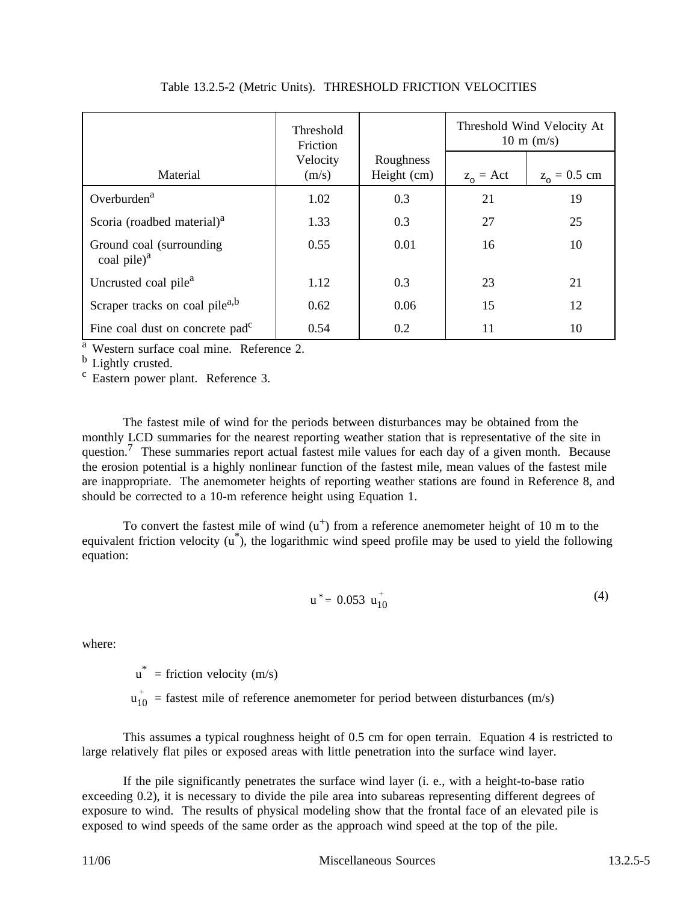|                                              | Threshold<br>Friction |                          | Threshold Wind Velocity At<br>$10 \text{ m}$ (m/s) |                |  |
|----------------------------------------------|-----------------------|--------------------------|----------------------------------------------------|----------------|--|
| Material                                     | Velocity<br>(m/s)     | Roughness<br>Height (cm) | $z_0 = Act$                                        | $z_0 = 0.5$ cm |  |
| Overburden <sup>a</sup>                      | 1.02                  | 0.3                      | 21                                                 | 19             |  |
| Scoria (roadbed material) <sup>a</sup>       | 1.33                  | 0.3                      | 27                                                 | 25             |  |
| Ground coal (surrounding)<br>coal pile $)^a$ | 0.55                  | 0.01                     | 16                                                 | 10             |  |
| Uncrusted coal pile <sup>a</sup>             | 1.12                  | 0.3                      | 23                                                 | 21             |  |
| Scraper tracks on coal pile <sup>a,b</sup>   | 0.62                  | 0.06                     | 15                                                 | 12             |  |
| Fine coal dust on concrete pad <sup>c</sup>  | 0.54                  | 0.2                      | 11                                                 | 10             |  |

Table 13.2.5-2 (Metric Units). THRESHOLD FRICTION VELOCITIES

<sup>a</sup> Western surface coal mine. Reference 2.<br> $\frac{b}{c}$  Lightly crusted.

 $\frac{c}{c}$  Eastern power plant. Reference 3.

The fastest mile of wind for the periods between disturbances may be obtained from the monthly LCD summaries for the nearest reporting weather station that is representative of the site in question.<sup>7</sup> These summaries report actual fastest mile values for each day of a given month. Because the erosion potential is a highly nonlinear function of the fastest mile, mean values of the fastest mile are inappropriate. The anemometer heights of reporting weather stations are found in Reference 8, and should be corrected to a 10-m reference height using Equation 1.

To convert the fastest mile of wind  $(u<sup>+</sup>)$  from a reference anemometer height of 10 m to the equivalent friction velocity (u\*), the logarithmic wind speed profile may be used to yield the following equation:

$$
u^* = 0.053 u_{10}^+
$$
 (4)

where:

 $u^*$  = friction velocity (m/s)

 $u_{10}^{+}$  = fastest mile of reference anemometer for period between disturbances (m/s)

This assumes a typical roughness height of 0.5 cm for open terrain. Equation 4 is restricted to large relatively flat piles or exposed areas with little penetration into the surface wind layer.

If the pile significantly penetrates the surface wind layer (i. e., with a height-to-base ratio exceeding 0.2), it is necessary to divide the pile area into subareas representing different degrees of exposure to wind. The results of physical modeling show that the frontal face of an elevated pile is exposed to wind speeds of the same order as the approach wind speed at the top of the pile.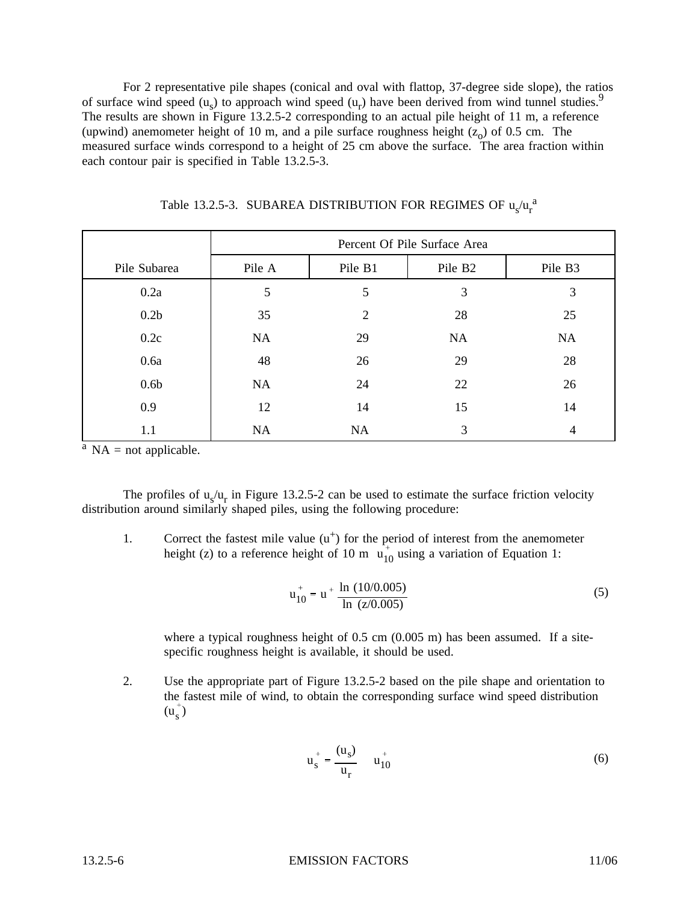For 2 representative pile shapes (conical and oval with flattop, 37-degree side slope), the ratios of surface wind speed  $(u<sub>s</sub>)$  to approach wind speed  $(u<sub>r</sub>)$  have been derived from wind tunnel studies.<sup>9</sup> The results are shown in Figure 13.2.5-2 corresponding to an actual pile height of 11 m, a reference (upwind) anemometer height of 10 m, and a pile surface roughness height  $(z_0)$  of 0.5 cm. The measured surface winds correspond to a height of 25 cm above the surface. The area fraction within each contour pair is specified in Table 13.2.5-3.

|                  | Percent Of Pile Surface Area |                |                     |                |  |  |  |  |
|------------------|------------------------------|----------------|---------------------|----------------|--|--|--|--|
| Pile Subarea     | Pile A                       | Pile B1        | Pile B <sub>2</sub> | Pile B3        |  |  |  |  |
| 0.2a             | 5                            | 5              | 3                   | 3              |  |  |  |  |
| 0.2 <sub>b</sub> | 35                           | $\overline{2}$ | 28                  | 25             |  |  |  |  |
| 0.2c             | NA                           | 29             | NA                  | NA             |  |  |  |  |
| 0.6a             | 48                           | 26             | 29                  | 28             |  |  |  |  |
| 0.6 <sub>b</sub> | NA                           | 24             | 22                  | 26             |  |  |  |  |
| 0.9              | 12                           | 14             | 15                  | 14             |  |  |  |  |
| 1.1              | NA                           | NA             | 3                   | $\overline{4}$ |  |  |  |  |

Table 13.2.5-3. SUBAREA DISTRIBUTION FOR REGIMES OF  $u_s/u_r^{-a}$ 

 $A^a$  NA = not applicable.

The profiles of  $u_s/u_r$  in Figure 13.2.5-2 can be used to estimate the surface friction velocity distribution around similarly shaped piles, using the following procedure:

1. Correct the fastest mile value  $(u<sup>+</sup>)$  for the period of interest from the anemometer height (z) to a reference height of 10 m  $\mathbf{u}_{10}^+$  using a variation of Equation 1:

$$
u_{10}^{+} = u^{+} \frac{\ln (10/0.005)}{\ln (z/0.005)}
$$
 (5)

where a typical roughness height of 0.5 cm (0.005 m) has been assumed. If a sitespecific roughness height is available, it should be used.

2. Use the appropriate part of Figure 13.2.5-2 based on the pile shape and orientation to the fastest mile of wind, to obtain the corresponding surface wind speed distribution  $(u_s^{\dagger})$ 

$$
u_s^+ = \frac{(u_s)}{u_r} \qquad u_{10}^+ \tag{6}
$$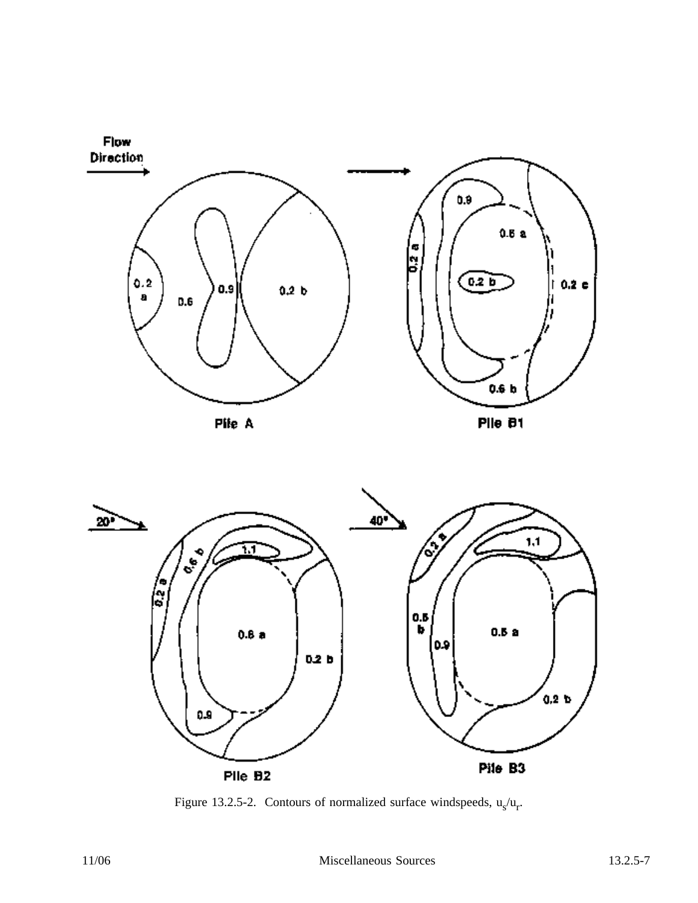



Figure 13.2.5-2. Contours of normalized surface windspeeds,  $u_s/u_r$ .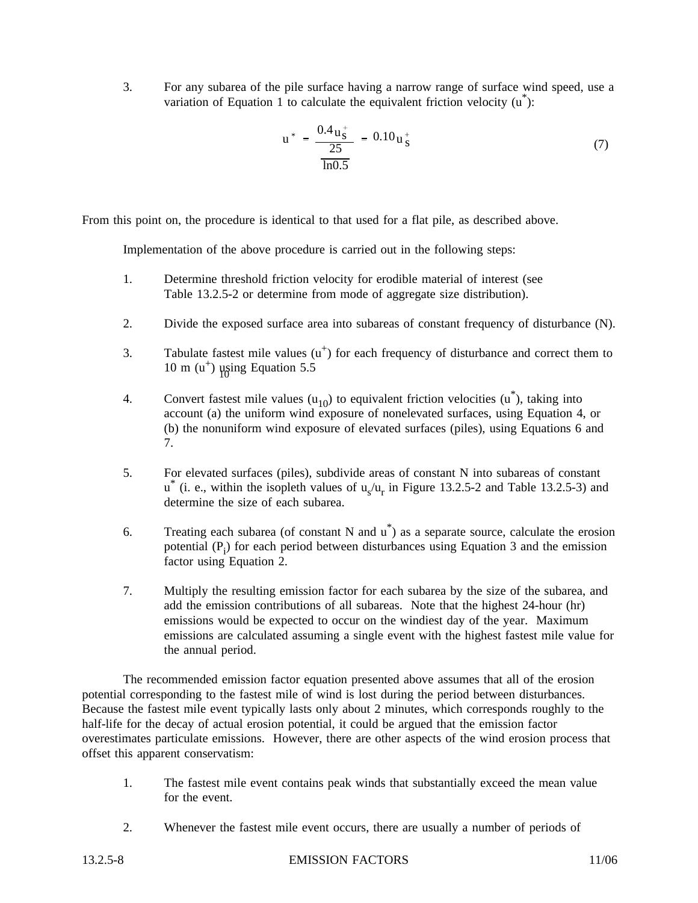3. For any subarea of the pile surface having a narrow range of surface wind speed, use a variation of Equation 1 to calculate the equivalent friction velocity  $(u^*):$ 

$$
u^* = \frac{0.4 u_s^+}{\frac{25}{\ln 0.5}} = 0.10 u_s^+ \tag{7}
$$

From this point on, the procedure is identical to that used for a flat pile, as described above.

Implementation of the above procedure is carried out in the following steps:

- 1. Determine threshold friction velocity for erodible material of interest (see Table 13.2.5-2 or determine from mode of aggregate size distribution).
- 2. Divide the exposed surface area into subareas of constant frequency of disturbance (N).
- 3. Tabulate fastest mile values  $(u<sup>+</sup>)$  for each frequency of disturbance and correct them to 10 m  $(u^+)$  using Equation 5.5
- 4. Convert fastest mile values  $(u_{10})$  to equivalent friction velocities  $(u^*)$ , taking into account (a) the uniform wind exposure of nonelevated surfaces, using Equation 4, or (b) the nonuniform wind exposure of elevated surfaces (piles), using Equations 6 and 7.
- 5. For elevated surfaces (piles), subdivide areas of constant N into subareas of constant  $u^*$  (i. e., within the isopleth values of  $u_s/u_r$  in Figure 13.2.5-2 and Table 13.2.5-3) and determine the size of each subarea.
- 6. Treating each subarea (of constant N and  $\mathbf{u}^*$ ) as a separate source, calculate the erosion potential  $(P_i)$  for each period between disturbances using Equation 3 and the emission factor using Equation 2.
- 7. Multiply the resulting emission factor for each subarea by the size of the subarea, and add the emission contributions of all subareas. Note that the highest 24-hour (hr) emissions would be expected to occur on the windiest day of the year. Maximum emissions are calculated assuming a single event with the highest fastest mile value for the annual period.

The recommended emission factor equation presented above assumes that all of the erosion potential corresponding to the fastest mile of wind is lost during the period between disturbances. Because the fastest mile event typically lasts only about 2 minutes, which corresponds roughly to the half-life for the decay of actual erosion potential, it could be argued that the emission factor overestimates particulate emissions. However, there are other aspects of the wind erosion process that offset this apparent conservatism:

- 1. The fastest mile event contains peak winds that substantially exceed the mean value for the event.
- 2. Whenever the fastest mile event occurs, there are usually a number of periods of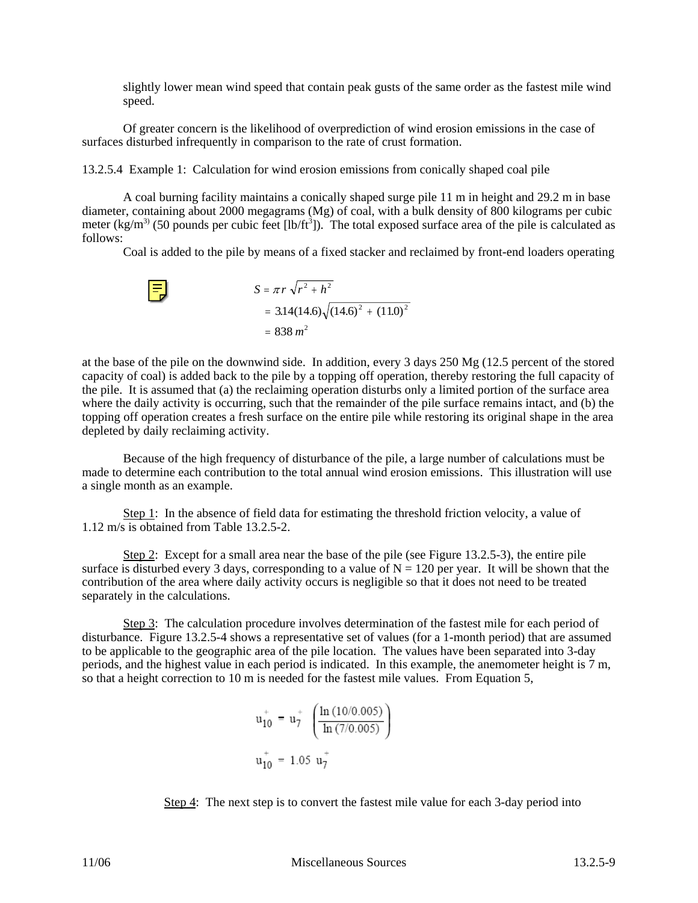slightly lower mean wind speed that contain peak gusts of the same order as the fastest mile wind speed.

 Of greater concern is the likelihood of overprediction of wind erosion emissions in the case of surfaces disturbed infrequently in comparison to the rate of crust formation.

13.2.5.4 Example 1: Calculation for wind erosion emissions from conically shaped coal pile

A coal burning facility maintains a conically shaped surge pile 11 m in height and 29.2 m in base diameter, containing about 2000 megagrams (Mg) of coal, with a bulk density of 800 kilograms per cubic meter (kg/m<sup>3)</sup> (50 pounds per cubic feet [lb/ft<sup>3</sup>]). The total exposed surface area of the pile is calculated as follows:

Coal is added to the pile by means of a fixed stacker and reclaimed by front-end loaders operating

$$
S = \pi r \sqrt{r^2 + h^2}
$$
  
= 3.14(14.6) $\sqrt{(14.6)^2 + (11.0)^2}$   
= 838 m<sup>2</sup>

at the base of the pile on the downwind side. In addition, every 3 days 250 Mg (12.5 percent of the stored capacity of coal) is added back to the pile by a topping off operation, thereby restoring the full capacity of the pile. It is assumed that (a) the reclaiming operation disturbs only a limited portion of the surface area where the daily activity is occurring, such that the remainder of the pile surface remains intact, and (b) the topping off operation creates a fresh surface on the entire pile while restoring its original shape in the area depleted by daily reclaiming activity.

Because of the high frequency of disturbance of the pile, a large number of calculations must be made to determine each contribution to the total annual wind erosion emissions. This illustration will use a single month as an example.

Step 1: In the absence of field data for estimating the threshold friction velocity, a value of 1.12 m/s is obtained from Table 13.2.5-2.

Step 2: Except for a small area near the base of the pile (see Figure 13.2.5-3), the entire pile surface is disturbed every 3 days, corresponding to a value of  $N = 120$  per year. It will be shown that the contribution of the area where daily activity occurs is negligible so that it does not need to be treated separately in the calculations.

Step 3: The calculation procedure involves determination of the fastest mile for each period of disturbance. Figure 13.2.5-4 shows a representative set of values (for a 1-month period) that are assumed to be applicable to the geographic area of the pile location. The values have been separated into 3-day periods, and the highest value in each period is indicated. In this example, the anemometer height is 7 m, so that a height correction to 10 m is needed for the fastest mile values. From Equation 5,

$$
u_{10}^{+} = u_{7}^{+} \left( \frac{\ln (10/0.005)}{\ln (7/0.005)} \right)
$$
  

$$
u_{10}^{+} = 1.05 u_{7}^{+}
$$

Step 4: The next step is to convert the fastest mile value for each 3-day period into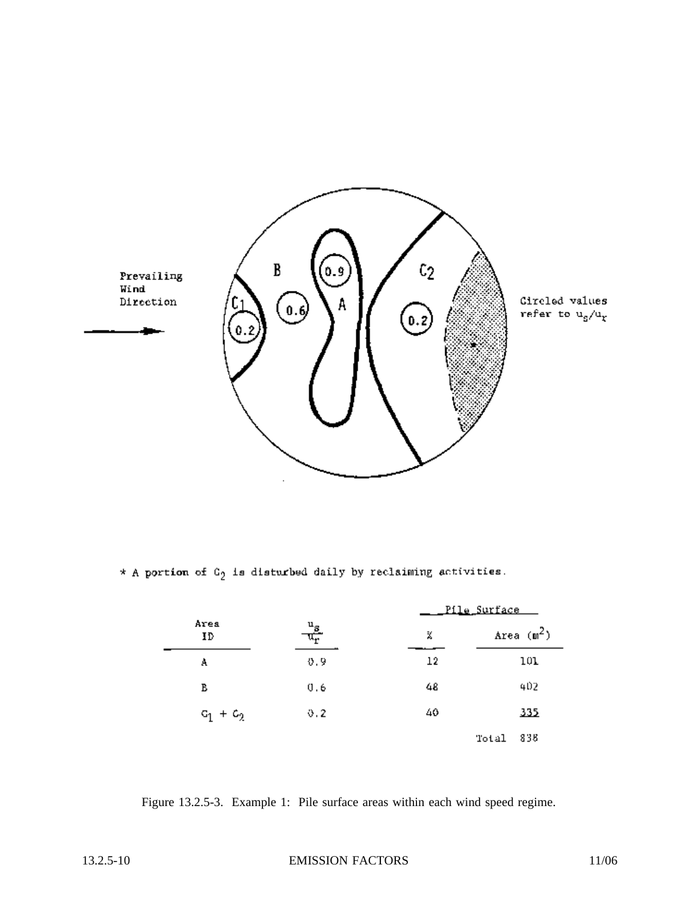

\* A portion of  $G_2$  is disturbed daily by reclaiming activities.

|             |                   | <u>Pile Surface </u> |              |  |  |
|-------------|-------------------|----------------------|--------------|--|--|
| Area<br>ID  | $\frac{u_s}{u_r}$ | X                    | Area $(m^2)$ |  |  |
| A           | 0.9               | 12                   | 101          |  |  |
| в           | 0.6               | 48                   | 402          |  |  |
| $c_1 + c_2$ | 0.2               | 40                   | 335          |  |  |
|             |                   |                      | 838<br>Total |  |  |

Figure 13.2.5-3. Example 1: Pile surface areas within each wind speed regime.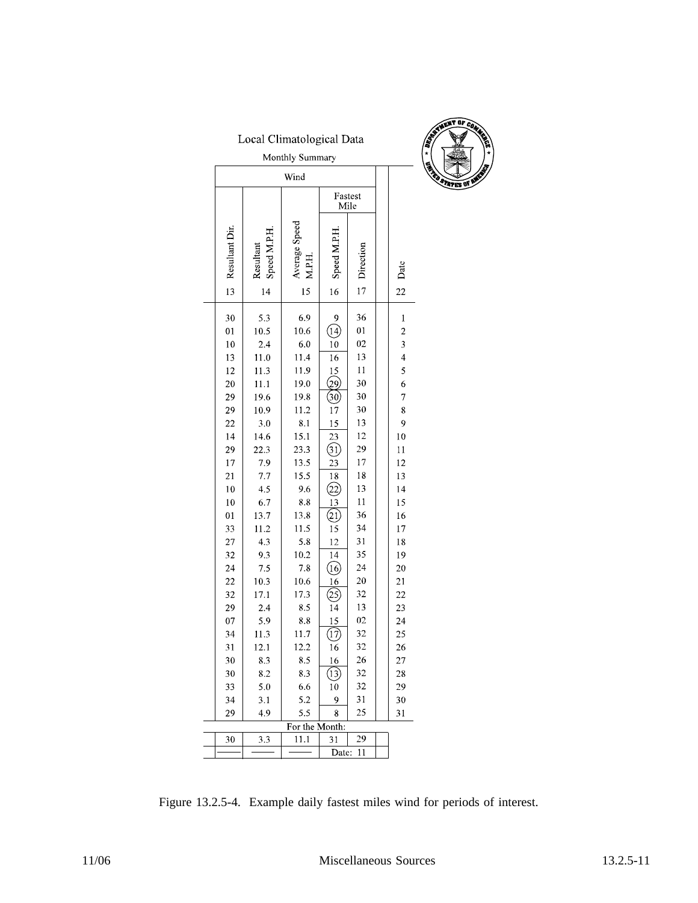|                    | Local Climatological Data                   |                     |                                    |          |  |                         |  |  |
|--------------------|---------------------------------------------|---------------------|------------------------------------|----------|--|-------------------------|--|--|
| Monthly Summary    |                                             |                     |                                    |          |  |                         |  |  |
|                    |                                             | Wind                |                                    |          |  |                         |  |  |
|                    |                                             |                     | Fastest<br>Mile                    |          |  |                         |  |  |
| Resultant Di<br>13 | Speed M.P.H<br>Resultant<br>$\overline{14}$ | Average Speed<br>15 | Speed M.P.H<br>16                  | 17       |  | Date<br>22              |  |  |
| 30                 | 5.3                                         | 6.9                 | 9                                  | 36       |  | 1                       |  |  |
| 01                 | 10.5                                        | 10.6                | (14)                               | $_{01}$  |  | $\overline{\mathbf{c}}$ |  |  |
| 10                 | 2.4                                         | 6.0                 | 10                                 | 02       |  | $\overline{\mathbf{3}}$ |  |  |
| 13                 | 11.0                                        | 11.4                | 16                                 | 13       |  | $\overline{\mathbf{4}}$ |  |  |
| 12                 | 11.3                                        | 11.9                | 15                                 | 11       |  | 5                       |  |  |
| 20                 | 11.1                                        | 19.0                | 29                                 | 30       |  | 6                       |  |  |
| 29                 | 19.6                                        | 19.8                | 30                                 | 30       |  | 7                       |  |  |
| 29                 | 10.9                                        | 11.2                | 17                                 | 30       |  | 8                       |  |  |
| 22                 | 3.0                                         | 8.1                 | 15                                 | 13<br>12 |  | 9                       |  |  |
| 14<br>29           | 14.6<br>22.3                                | 15.1<br>23.3        | 23                                 | 29       |  | 10<br>11                |  |  |
| 17                 | 7.9                                         | 13.5                | <u>(31</u><br>23                   | 17       |  | 12                      |  |  |
| 21                 | 7.7                                         | 15.5                | 18                                 | 18       |  | 13                      |  |  |
| 10                 | 4.5                                         | 9.6                 | 22)                                | 13       |  | 14                      |  |  |
| 10                 | 6.7                                         | 8.8                 | 13                                 | 11       |  | 15                      |  |  |
| 01                 | 13.7                                        | 13.8                | (21)                               | 36       |  | 16                      |  |  |
| 33                 | 11.2                                        | 11.5                | 15                                 | 34       |  | 17                      |  |  |
| 27                 | 4.3                                         | 5.8                 | 12                                 | 31       |  | 18                      |  |  |
| 32                 | 9.3                                         | 10.2                | 14                                 | 35       |  | 19                      |  |  |
| 24                 | 7.5                                         | 7.8                 | $\overline{\textbf{(}0\textbf{)}}$ | 24       |  | 20                      |  |  |
| 22                 | 10.3                                        | 10.6                | 16                                 | 20       |  | 21                      |  |  |
| 32                 | 17.1                                        | 17.3                | 25<br>$\overline{14}$              | 32       |  | 22                      |  |  |
| 29<br>07           | 2.4<br>5.9                                  | 8.5<br>8.8          |                                    | 13<br>02 |  | 23<br>24                |  |  |
| 34                 | 11.3                                        | 11.7                | $\frac{15}{2}$<br>(17)             | 32       |  | 25                      |  |  |
| 31                 | 12.1                                        | 12.2                | 16                                 | 32       |  | 26                      |  |  |
| 30                 | 8.3                                         | 8.5                 | 16                                 | 26       |  | 27                      |  |  |
| 30                 | 8.2                                         | 8.3                 | (13)                               | 32       |  | 28                      |  |  |
| 33                 | 5.0                                         | 6.6                 | 10                                 | 32       |  | 29                      |  |  |
| 34                 | 3.1                                         | 5.2                 | 9                                  | 31       |  | 30                      |  |  |
| 29                 | 4.9                                         | 5.5                 | 8                                  | 25       |  | 31                      |  |  |
|                    |                                             | For the Month:      |                                    |          |  |                         |  |  |
| 30                 | 3.3                                         | 11.1                | 31<br>Date:                        | 29<br>11 |  |                         |  |  |
|                    |                                             |                     |                                    |          |  |                         |  |  |



Figure 13.2.5-4. Example daily fastest miles wind for periods of interest.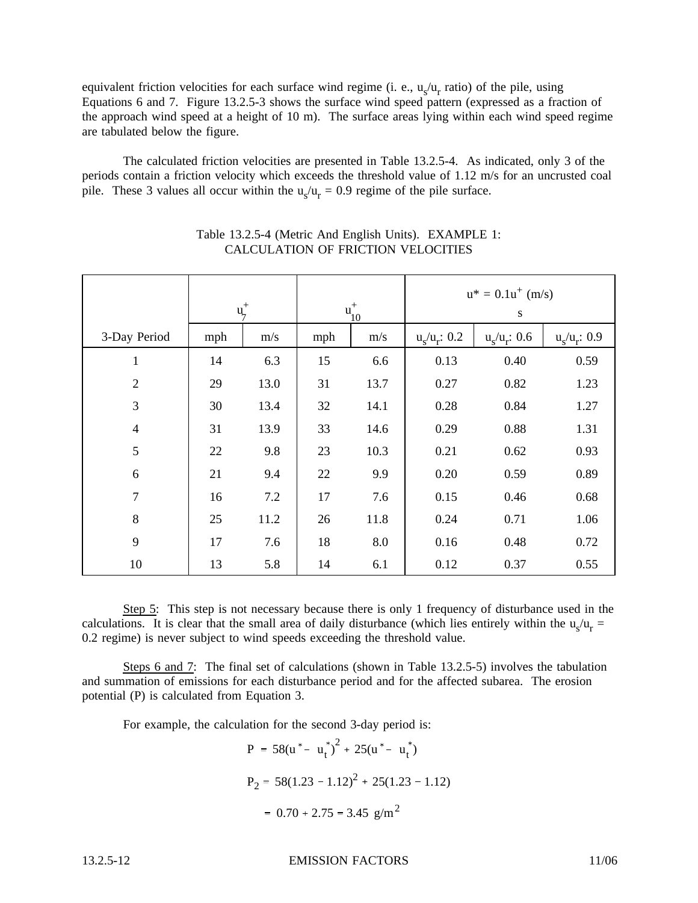equivalent friction velocities for each surface wind regime (i. e.,  $u_s/u_r$  ratio) of the pile, using Equations 6 and 7. Figure 13.2.5-3 shows the surface wind speed pattern (expressed as a fraction of the approach wind speed at a height of 10 m). The surface areas lying within each wind speed regime are tabulated below the figure.

The calculated friction velocities are presented in Table 13.2.5-4. As indicated, only 3 of the periods contain a friction velocity which exceeds the threshold value of 1.12 m/s for an uncrusted coal pile. These 3 values all occur within the  $u_s/u_r = 0.9$  regime of the pile surface.

|                | $u_7^+$ |      | $u_{10}^+$ |      | $u^* = 0.1u^+(m/s)$<br>${\bf S}$ |                 |                 |
|----------------|---------|------|------------|------|----------------------------------|-----------------|-----------------|
| 3-Day Period   | mph     | m/s  | mph        | m/s  | $u_{s}/u_{r}: 0.2$               | $u_s/u_r$ : 0.6 | $u_s/u_r$ : 0.9 |
| $\mathbf{1}$   | 14      | 6.3  | 15         | 6.6  | 0.13                             | 0.40            | 0.59            |
| $\overline{2}$ | 29      | 13.0 | 31         | 13.7 | 0.27                             | 0.82            | 1.23            |
| 3              | 30      | 13.4 | 32         | 14.1 | 0.28                             | 0.84            | 1.27            |
| $\overline{4}$ | 31      | 13.9 | 33         | 14.6 | 0.29                             | 0.88            | 1.31            |
| 5              | 22      | 9.8  | 23         | 10.3 | 0.21                             | 0.62            | 0.93            |
| 6              | 21      | 9.4  | 22         | 9.9  | 0.20                             | 0.59            | 0.89            |
| $\overline{7}$ | 16      | 7.2  | 17         | 7.6  | 0.15                             | 0.46            | 0.68            |
| 8              | 25      | 11.2 | 26         | 11.8 | 0.24                             | 0.71            | 1.06            |
| 9              | 17      | 7.6  | 18         | 8.0  | 0.16                             | 0.48            | 0.72            |
| 10             | 13      | 5.8  | 14         | 6.1  | 0.12                             | 0.37            | 0.55            |

# Table 13.2.5-4 (Metric And English Units). EXAMPLE 1: CALCULATION OF FRICTION VELOCITIES

Step 5: This step is not necessary because there is only 1 frequency of disturbance used in the calculations. It is clear that the small area of daily disturbance (which lies entirely within the  $u_s/u_r =$ 0.2 regime) is never subject to wind speeds exceeding the threshold value.

Steps 6 and 7: The final set of calculations (shown in Table 13.2.5-5) involves the tabulation and summation of emissions for each disturbance period and for the affected subarea. The erosion potential (P) is calculated from Equation 3.

For example, the calculation for the second 3-day period is:

$$
P = 58(u* - ut*)2 + 25(u* - ut*)
$$
  
\n
$$
P2 = 58(1.23 - 1.12)2 + 25(1.23 - 1.12)
$$
  
\n= 0.70 + 2.75 = 3.45 g/m<sup>2</sup>

13.2.5-12 EMISSION FACTORS 11/06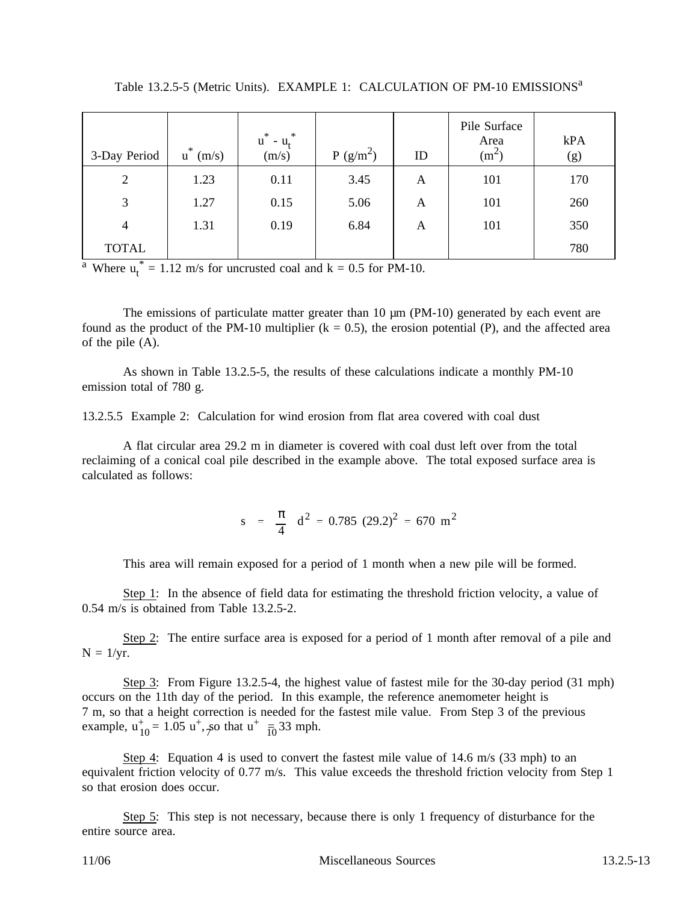| 3-Day Period   | $\ast$<br>(m/s)<br>$\mathbf u$ | $\ast$<br>$\ast$<br>u<br>$-u_{\rm t}$<br>(m/s) | P(g/m <sup>2</sup> ) | ID | Pile Surface<br>Area<br>(m <sup>2</sup> ) | kPA<br>(g) |
|----------------|--------------------------------|------------------------------------------------|----------------------|----|-------------------------------------------|------------|
| $\overline{2}$ | 1.23                           | 0.11                                           | 3.45                 | A  | 101                                       | 170        |
| 3              | 1.27                           | 0.15                                           | 5.06                 | A  | 101                                       | 260        |
| 4              | 1.31                           | 0.19                                           | 6.84                 | A  | 101                                       | 350        |
| <b>TOTAL</b>   |                                |                                                |                      |    |                                           | 780        |

Table 13.2.5-5 (Metric Units). EXAMPLE 1: CALCULATION OF PM-10 EMISSIONS<sup>a</sup>

<sup>a</sup> Where  $u_t^* = 1.12$  m/s for uncrusted coal and  $k = 0.5$  for PM-10.

The emissions of particulate matter greater than 10  $\mu$ m (PM-10) generated by each event are found as the product of the PM-10 multiplier ( $k = 0.5$ ), the erosion potential (P), and the affected area of the pile (A).

As shown in Table 13.2.5-5, the results of these calculations indicate a monthly PM-10 emission total of 780 g.

13.2.5.5 Example 2: Calculation for wind erosion from flat area covered with coal dust

A flat circular area 29.2 m in diameter is covered with coal dust left over from the total reclaiming of a conical coal pile described in the example above. The total exposed surface area is calculated as follows:

> $s = \frac{\pi}{4}$ 4  $d^2 = 0.785$  (29.2)<sup>2</sup> = 670 m<sup>2</sup>

This area will remain exposed for a period of 1 month when a new pile will be formed.

Step 1: In the absence of field data for estimating the threshold friction velocity, a value of 0.54 m/s is obtained from Table 13.2.5-2.

Step 2: The entire surface area is exposed for a period of 1 month after removal of a pile and  $N = 1/yr$ .

Step 3: From Figure 13.2.5-4, the highest value of fastest mile for the 30-day period (31 mph) occurs on the 11th day of the period. In this example, the reference anemometer height is 7 m, so that a height correction is needed for the fastest mile value. From Step 3 of the previous example,  $u_{10}^{+} = 1.05 u^{+}$ , so that  $u^{+}$   $\frac{1}{10}$  33 mph.

Step 4: Equation 4 is used to convert the fastest mile value of 14.6 m/s (33 mph) to an equivalent friction velocity of 0.77 m/s. This value exceeds the threshold friction velocity from Step 1 so that erosion does occur.

Step 5: This step is not necessary, because there is only 1 frequency of disturbance for the entire source area.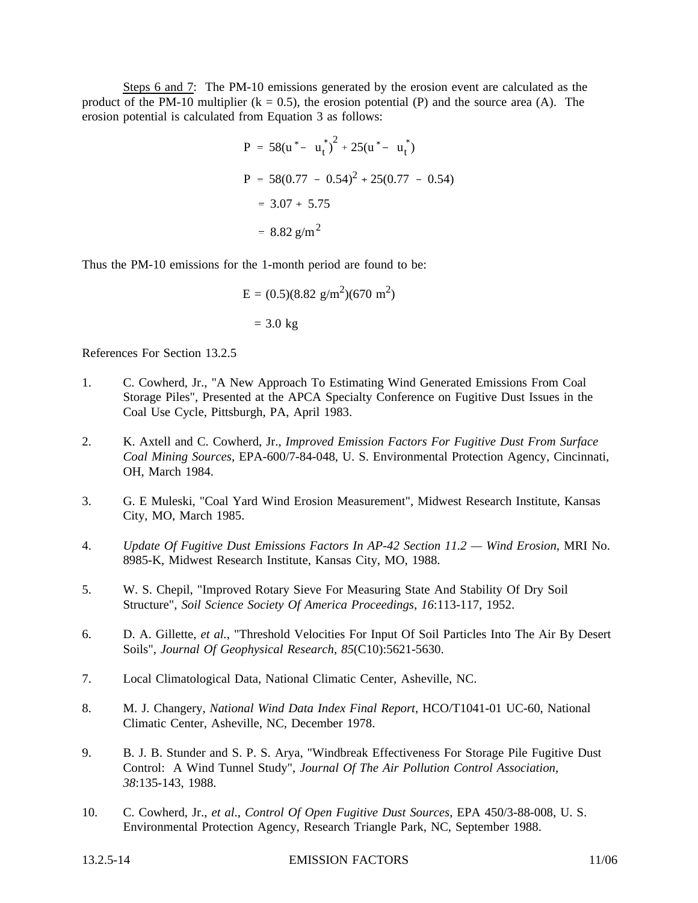Steps 6 and 7: The PM-10 emissions generated by the erosion event are calculated as the product of the PM-10 multiplier ( $k = 0.5$ ), the erosion potential (P) and the source area (A). The erosion potential is calculated from Equation 3 as follows:

$$
P = 58(u* - ut*)2 + 25(u* - ut*)
$$
  
\n
$$
P = 58(0.77 - 0.54)2 + 25(0.77 - 0.54)
$$
  
\n
$$
= 3.07 + 5.75
$$
  
\n
$$
= 8.82 g/m2
$$

Thus the PM-10 emissions for the 1-month period are found to be:

$$
E = (0.5)(8.82 \text{ g/m}^2)(670 \text{ m}^2)
$$
  
= 3.0 kg

References For Section 13.2.5

- 1. C. Cowherd, Jr., "A New Approach To Estimating Wind Generated Emissions From Coal Storage Piles", Presented at the APCA Specialty Conference on Fugitive Dust Issues in the Coal Use Cycle, Pittsburgh, PA, April 1983.
- 2. K. Axtell and C. Cowherd, Jr., *Improved Emission Factors For Fugitive Dust From Surface Coal Mining Sources*, EPA-600/7-84-048, U. S. Environmental Protection Agency, Cincinnati, OH, March 1984.
- 3. G. E Muleski, "Coal Yard Wind Erosion Measurement", Midwest Research Institute, Kansas City, MO, March 1985.
- 4. *Update Of Fugitive Dust Emissions Factors In AP-42 Section 11.2 Wind Erosion*, MRI No. 8985-K, Midwest Research Institute, Kansas City, MO, 1988.
- 5. W. S. Chepil, "Improved Rotary Sieve For Measuring State And Stability Of Dry Soil Structure", *Soil Science Society Of America Proceedings*, *16*:113-117, 1952.
- 6. D. A. Gillette, *et al.*, "Threshold Velocities For Input Of Soil Particles Into The Air By Desert Soils", *Journal Of Geophysical Research*, *85*(C10):5621-5630.
- 7. Local Climatological Data, National Climatic Center, Asheville, NC.
- 8. M. J. Changery, *National Wind Data Index Final Report*, HCO/T1041-01 UC-60, National Climatic Center, Asheville, NC, December 1978.
- 9. B. J. B. Stunder and S. P. S. Arya, "Windbreak Effectiveness For Storage Pile Fugitive Dust Control: A Wind Tunnel Study", *Journal Of The Air Pollution Control Association*, *38*:135-143, 1988.
- 10. C. Cowherd, Jr., *et al*., *Control Of Open Fugitive Dust Sources*, EPA 450/3-88-008, U. S. Environmental Protection Agency, Research Triangle Park, NC, September 1988.